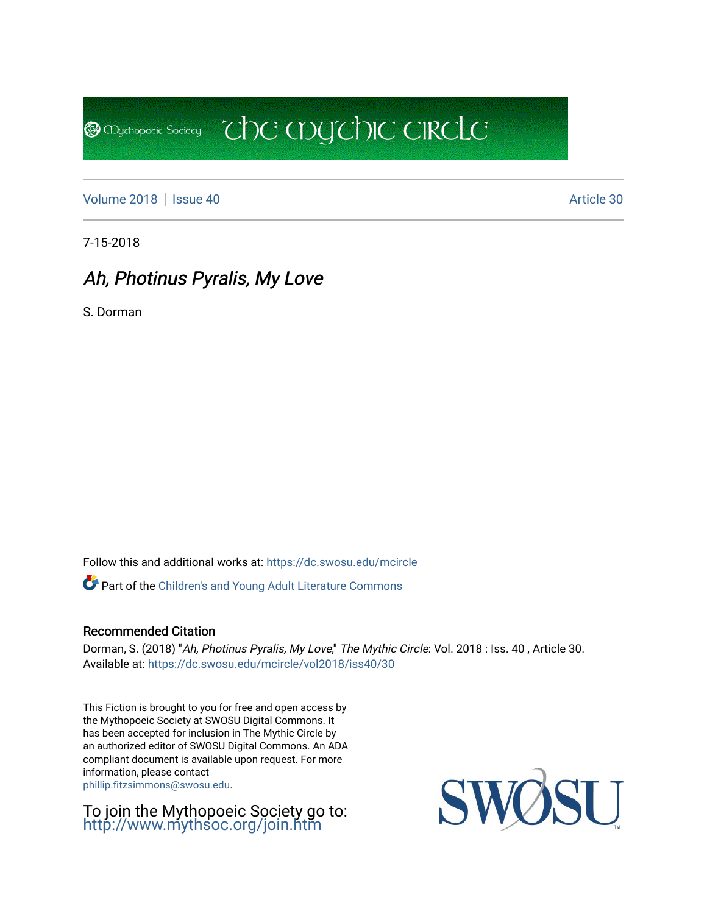[Volume 2018](https://dc.swosu.edu/mcircle/vol2018) | [Issue 40](https://dc.swosu.edu/mcircle/vol2018/iss40) Article 30

**@** Mychopoeic Sociecy

7-15-2018

## Ah, Photinus Pyralis, My Love

S. Dorman

Follow this and additional works at: [https://dc.swosu.edu/mcircle](https://dc.swosu.edu/mcircle?utm_source=dc.swosu.edu%2Fmcircle%2Fvol2018%2Fiss40%2F30&utm_medium=PDF&utm_campaign=PDFCoverPages) 

Part of the [Children's and Young Adult Literature Commons](http://network.bepress.com/hgg/discipline/1289?utm_source=dc.swosu.edu%2Fmcircle%2Fvol2018%2Fiss40%2F30&utm_medium=PDF&utm_campaign=PDFCoverPages) 

### Recommended Citation

Dorman, S. (2018) "Ah, Photinus Pyralis, My Love," The Mythic Circle: Vol. 2018 : Iss. 40, Article 30. Available at: [https://dc.swosu.edu/mcircle/vol2018/iss40/30](https://dc.swosu.edu/mcircle/vol2018/iss40/30?utm_source=dc.swosu.edu%2Fmcircle%2Fvol2018%2Fiss40%2F30&utm_medium=PDF&utm_campaign=PDFCoverPages) 

 $\overline{c}$  the mychic circle

This Fiction is brought to you for free and open access by the Mythopoeic Society at SWOSU Digital Commons. It has been accepted for inclusion in The Mythic Circle by an authorized editor of SWOSU Digital Commons. An ADA compliant document is available upon request. For more information, please contact [phillip.fitzsimmons@swosu.edu](mailto:phillip.fitzsimmons@swosu.edu).

To join the Mythopoeic Society go to: <http://www.mythsoc.org/join.htm>

SWO **STT**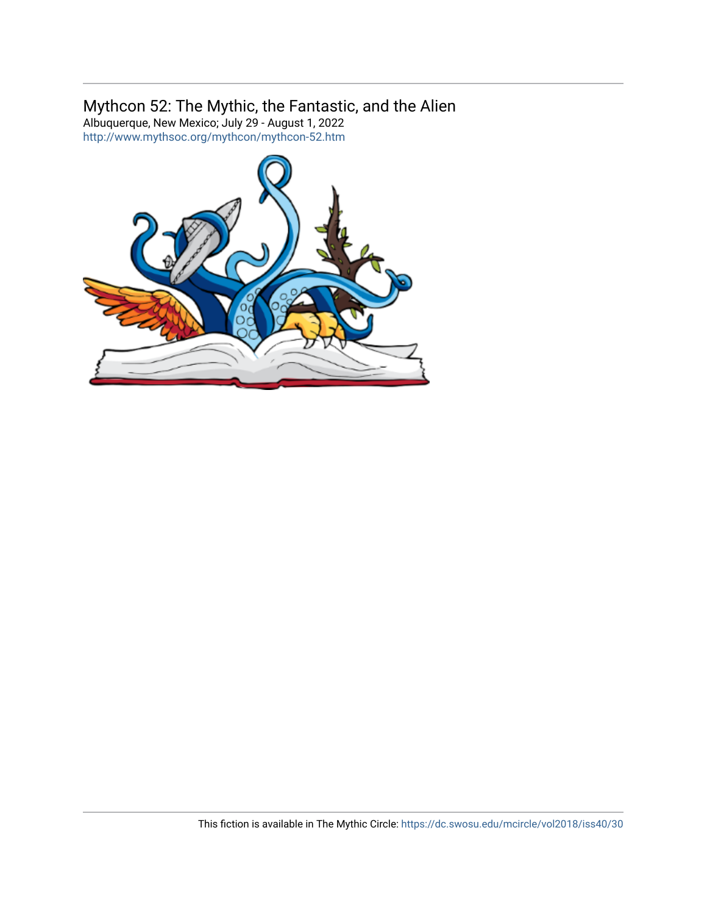### Mythcon 52: The Mythic, the Fantastic, and the Alien

Albuquerque, New Mexico; July 29 - August 1, 2022 <http://www.mythsoc.org/mythcon/mythcon-52.htm>

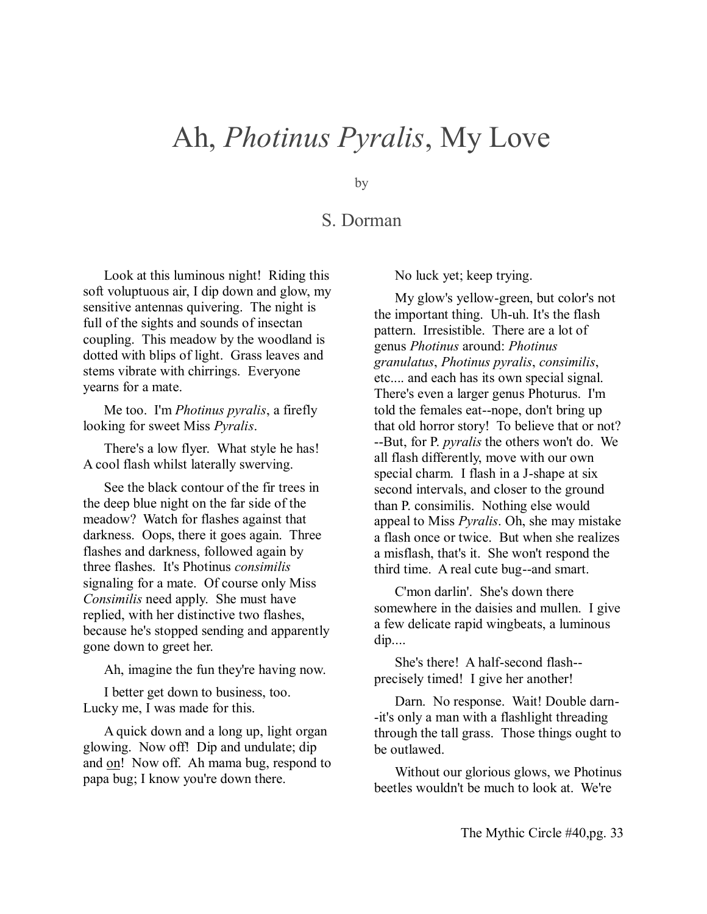# Ah, *Photinus Pyralis*, My Love

by

## S. Dorman

Look at this luminous night! Riding this soft voluptuous air, I dip down and glow, my sensitive antennas quivering. The night is full of the sights and sounds of insectan coupling. This meadow by the woodland is dotted with blips of light. Grass leaves and stems vibrate with chirrings. Everyone yearns for a mate.

Me too. I'm *Photinus pyralis*, a firefly looking for sweet Miss *Pyralis*.

There's a low flyer. What style he has! A cool flash whilst laterally swerving.

See the black contour of the fir trees in the deep blue night on the far side of the meadow? Watch for flashes against that darkness. Oops, there it goes again. Three flashes and darkness, followed again by three flashes. It's Photinus *consimilis* signaling for a mate. Of course only Miss *Consimilis* need apply. She must have replied, with her distinctive two flashes, because he's stopped sending and apparently gone down to greet her.

Ah, imagine the fun they're having now.

I better get down to business, too. Lucky me, I was made for this.

A quick down and a long up, light organ glowing. Now off! Dip and undulate; dip and on! Now off. Ah mama bug, respond to papa bug; I know you're down there.

No luck yet; keep trying.

My glow's yellow-green, but color's not the important thing. Uh-uh. It's the flash pattern. Irresistible. There are a lot of genus *Photinus* around: *Photinus granulatus*, *Photinus pyralis*, *consimilis*, etc.... and each has its own special signal. There's even a larger genus Photurus. I'm told the females eat--nope, don't bring up that old horror story! To believe that or not? --But, for P. *pyralis* the others won't do. We all flash differently, move with our own special charm. I flash in a J-shape at six second intervals, and closer to the ground than P. consimilis. Nothing else would appeal to Miss *Pyralis*. Oh, she may mistake a flash once or twice. But when she realizes a misflash, that's it. She won't respond the third time. A real cute bug--and smart.

C'mon darlin'. She's down there somewhere in the daisies and mullen. I give a few delicate rapid wingbeats, a luminous dip....

She's there! A half-second flash- precisely timed! I give her another!

Darn. No response. Wait! Double darn- -it's only a man with a flashlight threading through the tall grass. Those things ought to be outlawed.

Without our glorious glows, we Photinus beetles wouldn't be much to look at. We're